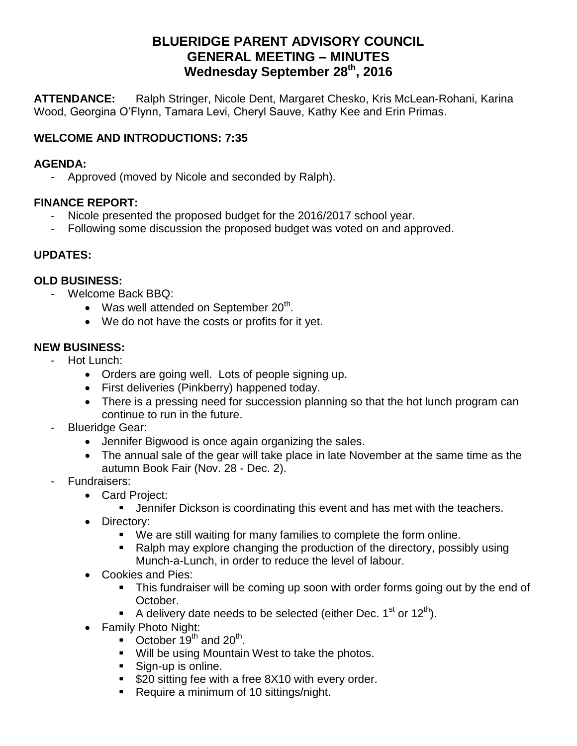# **BLUERIDGE PARENT ADVISORY COUNCIL GENERAL MEETING – MINUTES Wednesday September 28th, 2016**

**ATTENDANCE:** Ralph Stringer, Nicole Dent, Margaret Chesko, Kris McLean-Rohani, Karina Wood, Georgina O'Flynn, Tamara Levi, Cheryl Sauve, Kathy Kee and Erin Primas.

### **WELCOME AND INTRODUCTIONS: 7:35**

#### **AGENDA:**

- Approved (moved by Nicole and seconded by Ralph).

#### **FINANCE REPORT:**

- Nicole presented the proposed budget for the 2016/2017 school year.
- Following some discussion the proposed budget was voted on and approved.

### **UPDATES:**

### **OLD BUSINESS:**

- Welcome Back BBQ:
	- Was well attended on September  $20<sup>th</sup>$ .
	- We do not have the costs or profits for it yet.

### **NEW BUSINESS:**

- Hot Lunch:
	- Orders are going well. Lots of people signing up.
	- First deliveries (Pinkberry) happened today.
	- There is a pressing need for succession planning so that the hot lunch program can continue to run in the future.
- Blueridge Gear:
	- Jennifer Bigwood is once again organizing the sales.
	- The annual sale of the gear will take place in late November at the same time as the autumn Book Fair (Nov. 28 - Dec. 2).
- Fundraisers:
	- Card Project:
		- **Jennifer Dickson is coordinating this event and has met with the teachers.**
	- Directory:
		- We are still waiting for many families to complete the form online.
		- Ralph may explore changing the production of the directory, possibly using Munch-a-Lunch, in order to reduce the level of labour.
	- Cookies and Pies:
		- This fundraiser will be coming up soon with order forms going out by the end of October.
		- A delivery date needs to be selected (either Dec.  $1^{st}$  or  $12^{th}$ ).
	- Family Photo Night:
		- $\bullet$  October 19<sup>th</sup> and 20<sup>th</sup>.
		- **Will be using Mountain West to take the photos.**
		- Sign-up is online.
		- **S20 sitting fee with a free 8X10 with every order.**
		- Require a minimum of 10 sittings/night.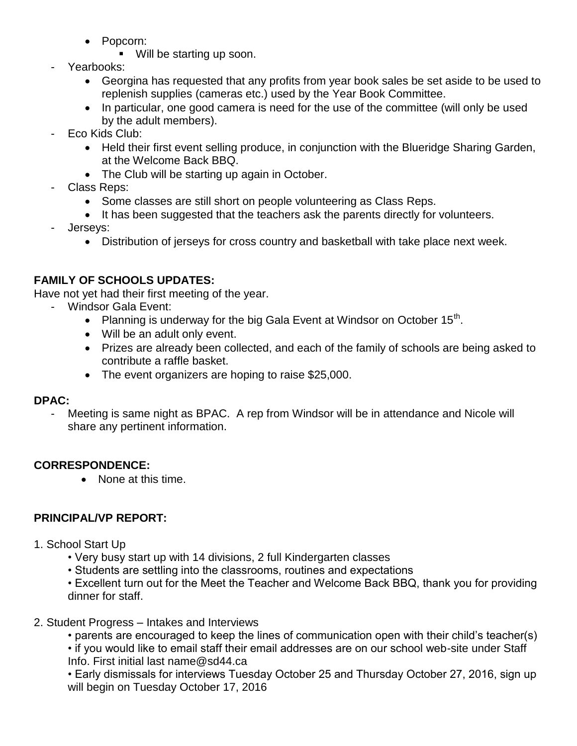- Popcorn:
	- Will be starting up soon.
- Yearbooks:
	- Georgina has requested that any profits from year book sales be set aside to be used to replenish supplies (cameras etc.) used by the Year Book Committee.
	- In particular, one good camera is need for the use of the committee (will only be used by the adult members).
- Eco Kids Club:
	- Held their first event selling produce, in conjunction with the Blueridge Sharing Garden, at the Welcome Back BBQ.
	- The Club will be starting up again in October.
- Class Reps:
	- Some classes are still short on people volunteering as Class Reps.
	- It has been suggested that the teachers ask the parents directly for volunteers.
- Jerseys:
	- Distribution of jerseys for cross country and basketball with take place next week.

# **FAMILY OF SCHOOLS UPDATES:**

Have not yet had their first meeting of the year.

- Windsor Gala Event:
	- Planning is underway for the big Gala Event at Windsor on October  $15<sup>th</sup>$ .
	- Will be an adult only event.
	- Prizes are already been collected, and each of the family of schools are being asked to contribute a raffle basket.
	- The event organizers are hoping to raise \$25,000.

### **DPAC:**

Meeting is same night as BPAC. A rep from Windsor will be in attendance and Nicole will share any pertinent information.

### **CORRESPONDENCE:**

• None at this time.

# **PRINCIPAL/VP REPORT:**

- 1. School Start Up
	- Very busy start up with 14 divisions, 2 full Kindergarten classes
	- Students are settling into the classrooms, routines and expectations
	- Excellent turn out for the Meet the Teacher and Welcome Back BBQ, thank you for providing dinner for staff.
- 2. Student Progress Intakes and Interviews
	- parents are encouraged to keep the lines of communication open with their child's teacher(s)
	- if you would like to email staff their email addresses are on our school web-site under Staff Info. First initial last name@sd44.ca

• Early dismissals for interviews Tuesday October 25 and Thursday October 27, 2016, sign up will begin on Tuesday October 17, 2016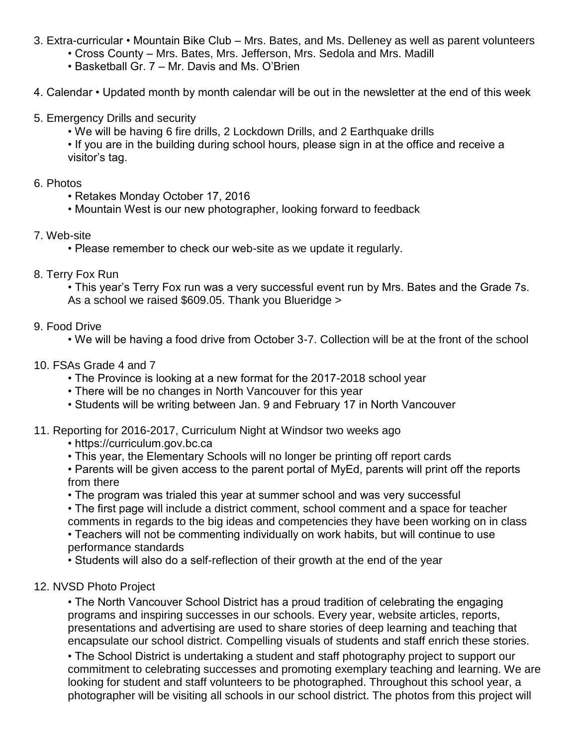- 3. Extra-curricular Mountain Bike Club Mrs. Bates, and Ms. Delleney as well as parent volunteers
	- Cross County Mrs. Bates, Mrs. Jefferson, Mrs. Sedola and Mrs. Madill
	- Basketball Gr. 7 Mr. Davis and Ms. O'Brien
- 4. Calendar Updated month by month calendar will be out in the newsletter at the end of this week
- 5. Emergency Drills and security
	- We will be having 6 fire drills, 2 Lockdown Drills, and 2 Earthquake drills
	- If you are in the building during school hours, please sign in at the office and receive a visitor's tag.
- 6. Photos
	- Retakes Monday October 17, 2016
	- Mountain West is our new photographer, looking forward to feedback
- 7. Web-site
	- Please remember to check our web-site as we update it regularly.
- 8. Terry Fox Run

• This year's Terry Fox run was a very successful event run by Mrs. Bates and the Grade 7s. As a school we raised \$609.05. Thank you Blueridge >

- 9. Food Drive
	- We will be having a food drive from October 3-7. Collection will be at the front of the school
- 10. FSAs Grade 4 and 7
	- The Province is looking at a new format for the 2017-2018 school year
	- There will be no changes in North Vancouver for this year
	- Students will be writing between Jan. 9 and February 17 in North Vancouver

### 11. Reporting for 2016-2017, Curriculum Night at Windsor two weeks ago

- https://curriculum.gov.bc.ca
- This year, the Elementary Schools will no longer be printing off report cards
- Parents will be given access to the parent portal of MyEd, parents will print off the reports from there
- The program was trialed this year at summer school and was very successful
- The first page will include a district comment, school comment and a space for teacher comments in regards to the big ideas and competencies they have been working on in class

• Teachers will not be commenting individually on work habits, but will continue to use performance standards

• Students will also do a self-reflection of their growth at the end of the year

### 12. NVSD Photo Project

• The North Vancouver School District has a proud tradition of celebrating the engaging programs and inspiring successes in our schools. Every year, website articles, reports, presentations and advertising are used to share stories of deep learning and teaching that encapsulate our school district. Compelling visuals of students and staff enrich these stories.

• The School District is undertaking a student and staff photography project to support our commitment to celebrating successes and promoting exemplary teaching and learning. We are looking for student and staff volunteers to be photographed. Throughout this school year, a photographer will be visiting all schools in our school district. The photos from this project will